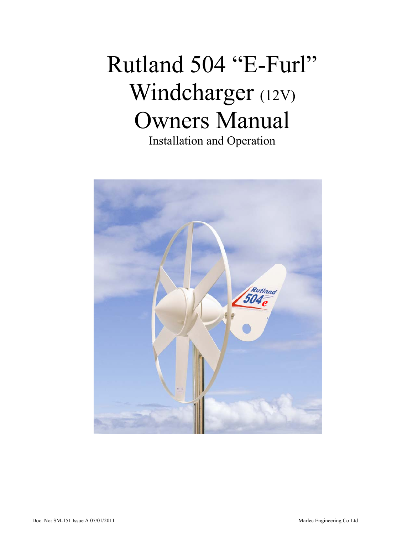# Rutland 504 "E-Furl" Windcharger (12V) Owners Manual Installation and Operation

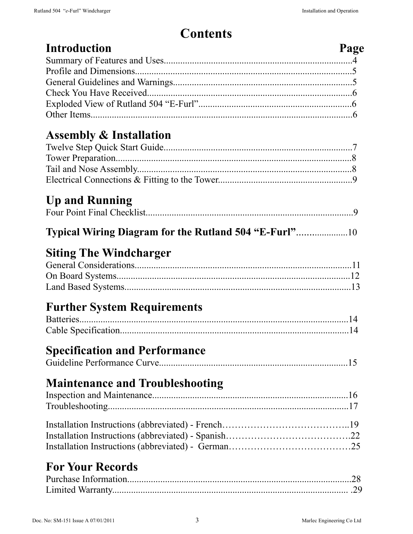| <b>Contents</b>                                     |      |  |
|-----------------------------------------------------|------|--|
| <b>Introduction</b>                                 | Page |  |
|                                                     |      |  |
|                                                     |      |  |
|                                                     |      |  |
|                                                     |      |  |
| <b>Assembly &amp; Installation</b>                  |      |  |
|                                                     |      |  |
|                                                     |      |  |
|                                                     |      |  |
|                                                     |      |  |
| <b>Up and Running</b>                               |      |  |
|                                                     |      |  |
| Typical Wiring Diagram for the Rutland 504 "E-Furl" |      |  |
| <b>Siting The Windcharger</b>                       |      |  |
|                                                     |      |  |
|                                                     |      |  |
|                                                     |      |  |
| <b>Further System Requirements</b>                  |      |  |
|                                                     |      |  |
|                                                     |      |  |
| <b>Specification and Performance</b>                |      |  |
|                                                     |      |  |
| <b>Maintenance and Troubleshooting</b>              |      |  |
|                                                     |      |  |
|                                                     |      |  |
|                                                     |      |  |
|                                                     |      |  |
|                                                     |      |  |
| <b>For Your Records</b>                             |      |  |
|                                                     |      |  |
|                                                     |      |  |
|                                                     |      |  |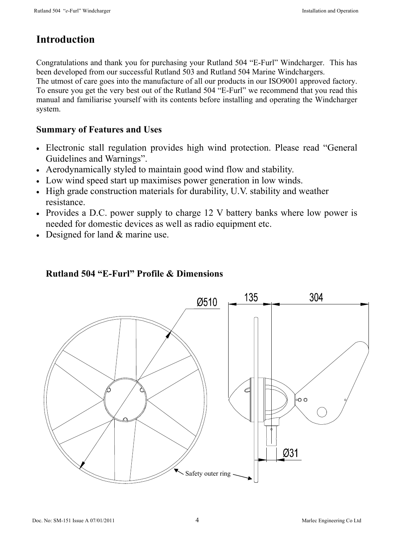#### **Introduction**

Congratulations and thank you for purchasing your Rutland 504 "E-Furl" Windcharger. This has been developed from our successful Rutland 503 and Rutland 504 Marine Windchargers.

The utmost of care goes into the manufacture of all our products in our ISO9001 approved factory. To ensure you get the very best out of the Rutland 504 "E-Furl" we recommend that you read this manual and familiarise yourself with its contents before installing and operating the Windcharger system.

#### **Summary of Features and Uses**

- Electronic stall regulation provides high wind protection. Please read "General Guidelines and Warnings".
- Aerodynamically styled to maintain good wind flow and stability.
- Low wind speed start up maximises power generation in low winds.
- High grade construction materials for durability, U.V. stability and weather resistance.
- Provides a D.C. power supply to charge 12 V battery banks where low power is needed for domestic devices as well as radio equipment etc.
- Designed for land & marine use.

#### **Rutland 504 "E-Furl" Profile & Dimensions**

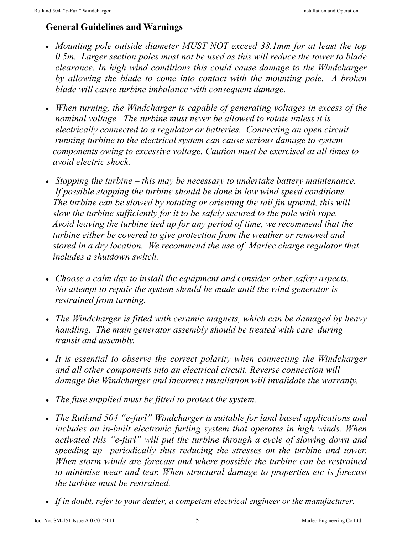#### **General Guidelines and Warnings**

- *Mounting pole outside diameter MUST NOT exceed 38.1mm for at least the top 0.5m. Larger section poles must not be used as this will reduce the tower to blade clearance. In high wind conditions this could cause damage to the Windcharger by allowing the blade to come into contact with the mounting pole. A broken blade will cause turbine imbalance with consequent damage.*
- *When turning, the Windcharger is capable of generating voltages in excess of the nominal voltage. The turbine must never be allowed to rotate unless it is electrically connected to a regulator or batteries. Connecting an open circuit running turbine to the electrical system can cause serious damage to system components owing to excessive voltage. Caution must be exercised at all times to avoid electric shock.*
- *Stopping the turbine this may be necessary to undertake battery maintenance. If possible stopping the turbine should be done in low wind speed conditions. The turbine can be slowed by rotating or orienting the tail fin upwind, this will slow the turbine sufficiently for it to be safely secured to the pole with rope. Avoid leaving the turbine tied up for any period of time, we recommend that the turbine either be covered to give protection from the weather or removed and stored in a dry location. We recommend the use of Marlec charge regulator that includes a shutdown switch.*
- *Choose a calm day to install the equipment and consider other safety aspects. No attempt to repair the system should be made until the wind generator is restrained from turning.*
- *The Windcharger is fitted with ceramic magnets, which can be damaged by heavy handling. The main generator assembly should be treated with care during transit and assembly.*
- It is essential to observe the correct polarity when connecting the Windcharger *and all other components into an electrical circuit. Reverse connection will damage the Windcharger and incorrect installation will invalidate the warranty.*
- *The fuse supplied must be fitted to protect the system.*
- *The Rutland 504 "e-furl" Windcharger is suitable for land based applications and includes an in-built electronic furling system that operates in high winds. When activated this "e-furl" will put the turbine through a cycle of slowing down and speeding up periodically thus reducing the stresses on the turbine and tower. When storm winds are forecast and where possible the turbine can be restrained to minimise wear and tear. When structural damage to properties etc is forecast the turbine must be restrained.*
- *If in doubt, refer to your dealer, a competent electrical engineer or the manufacturer.*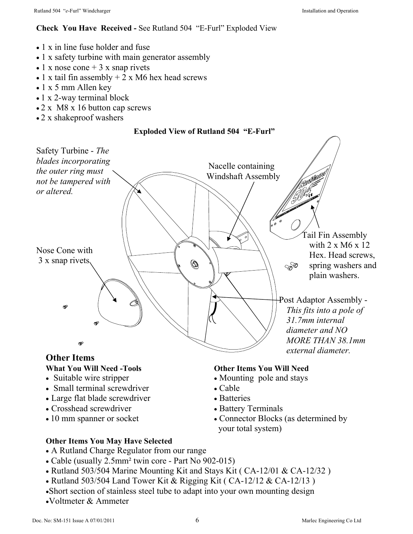#### **Check You Have Received -** See Rutland 504 "E-Furl" Exploded View

- 1 x in line fuse holder and fuse
- 1 x safety turbine with main generator assembly
- $\bullet$  1 x nose cone + 3 x snap rivets
- 1 x tail fin assembly  $+ 2x$  M6 hex head screws
- 1 x 5 mm Allen key
- 1 x 2-way terminal block
- 2 x M8 x 16 button cap screws
- 2 x shakeproof washers

#### **Exploded View of Rutland 504 "E-Furl"**



#### **What You Will Need -Tools**

- Suitable wire stripper
- Small terminal screwdriver
- Large flat blade screwdriver
- Crosshead screwdriver
- 10 mm spanner or socket

#### **Other Items You Will Need**

- Mounting pole and stays
- Cable
- Batteries
- Battery Terminals
- Connector Blocks (as determined by your total system)
- **Other Items You May Have Selected**
- A Rutland Charge Regulator from our range
- Cable (usually 2.5mm² twin core Part No 902-015)
- Rutland 503/504 Marine Mounting Kit and Stays Kit ( CA-12/01 & CA-12/32 )
- Rutland 503/504 Land Tower Kit & Rigging Kit ( CA-12/12 & CA-12/13 )
- •Short section of stainless steel tube to adapt into your own mounting design
- •Voltmeter & Ammeter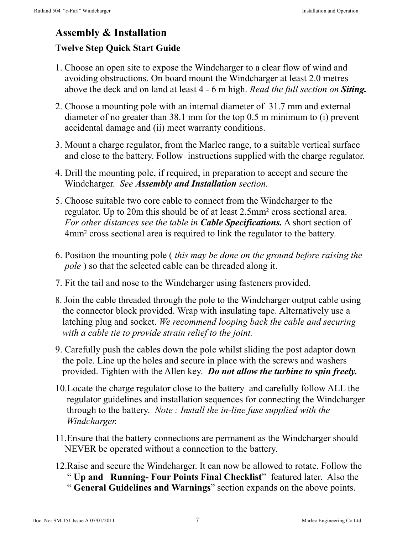### **Assembly & Installation**

#### **Twelve Step Quick Start Guide**

- 1. Choose an open site to expose the Windcharger to a clear flow of wind and avoiding obstructions. On board mount the Windcharger at least 2.0 metres above the deck and on land at least 4 - 6 m high. *Read the full section on Siting.*
- 2. Choose a mounting pole with an internal diameter of 31.7 mm and external diameter of no greater than 38.1 mm for the top 0.5 m minimum to (i) prevent accidental damage and (ii) meet warranty conditions.
- 3. Mount a charge regulator, from the Marlec range, to a suitable vertical surface and close to the battery. Follow instructions supplied with the charge regulator.
- 4. Drill the mounting pole, if required, in preparation to accept and secure the Windcharger. *See Assembly and Installation section.*
- 5. Choose suitable two core cable to connect from the Windcharger to the regulator. Up to 20m this should be of at least 2.5mm² cross sectional area. *For other distances see the table in Cable Specifications.* A short section of 4mm² cross sectional area is required to link the regulator to the battery.
- 6. Position the mounting pole ( *this may be done on the ground before raising the pole* ) so that the selected cable can be threaded along it.
- 7. Fit the tail and nose to the Windcharger using fasteners provided.
- 8. Join the cable threaded through the pole to the Windcharger output cable using the connector block provided. Wrap with insulating tape. Alternatively use a latching plug and socket. *We recommend looping back the cable and securing with a cable tie to provide strain relief to the joint.*
- 9. Carefully push the cables down the pole whilst sliding the post adaptor down the pole. Line up the holes and secure in place with the screws and washers provided. Tighten with the Allen key. *Do not allow the turbine to spin freely.*
- 10.Locate the charge regulator close to the battery and carefully follow ALL the regulator guidelines and installation sequences for connecting the Windcharger through to the battery. *Note : Install the in-line fuse supplied with the Windcharger.*
- 11.Ensure that the battery connections are permanent as the Windcharger should NEVER be operated without a connection to the battery.
- 12.Raise and secure the Windcharger. It can now be allowed to rotate. Follow the
	- " **Up and Running- Four Points Final Checklist**" featured later. Also the
	- " **General Guidelines and Warnings**" section expands on the above points.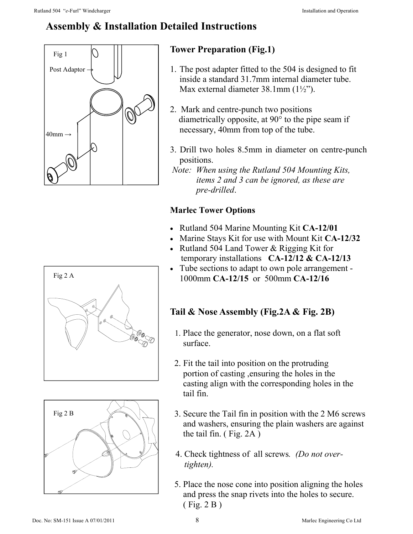#### **Assembly & Installation Detailed Instructions**



#### **Tower Preparation (Fig.1)**

- 1. The post adapter fitted to the 504 is designed to fit inside a standard 31.7mm internal diameter tube. Max external diameter 38.1mm (1½").
- 2. Mark and centre-punch two positions diametrically opposite, at 90° to the pipe seam if necessary, 40mm from top of the tube.
- 3. Drill two holes 8.5mm in diameter on centre-punch positions.
- *Note: When using the Rutland 504 Mounting Kits, items 2 and 3 can be ignored, as these are pre-drilled*.

#### **Marlec Tower Options**

- Rutland 504 Marine Mounting Kit **CA-12/01**
- Marine Stays Kit for use with Mount Kit **CA-12/32**
- Rutland 504 Land Tower & Rigging Kit for temporary installations **CA-12/12 & CA-12/13**
- Tube sections to adapt to own pole arrangement 1000mm **CA-12/15** or500mm **CA-12/16**

#### **Tail & Nose Assembly (Fig.2A & Fig. 2B)**

- 1. Place the generator, nose down, on a flat soft surface.
- 2. Fit the tail into position on the protruding portion of casting ,ensuring the holes in the casting align with the corresponding holes in the tail fin.
- 3. Secure the Tail fin in position with the 2 M6 screws and washers, ensuring the plain washers are against the tail fin. ( Fig. 2A )
- 4. Check tightness of all screws*. (Do not over tighten).*
- 5. Place the nose cone into position aligning the holes and press the snap rivets into the holes to secure. ( Fig. 2 B )



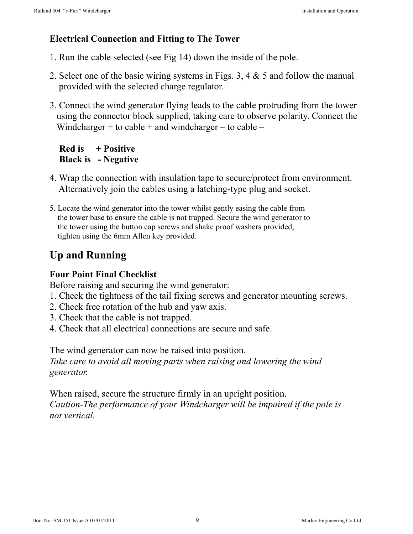#### **Electrical Connection and Fitting to The Tower**

- 1. Run the cable selected (see Fig 14) down the inside of the pole.
- 2. Select one of the basic wiring systems in Figs. 3, 4 & 5 and follow the manual provided with the selected charge regulator.
- 3. Connect the wind generator flying leads to the cable protruding from the tower using the connector block supplied, taking care to observe polarity. Connect the Windcharger + to cable + and windcharger – to cable –

#### **Red is + Positive Black is - Negative**

- 4. Wrap the connection with insulation tape to secure/protect from environment. Alternatively join the cables using a latching-type plug and socket.
- 5. Locate the wind generator into the tower whilst gently easing the cable from the tower base to ensure the cable is not trapped. Secure the wind generator to the tower using the button cap screws and shake proof washers provided, tighten using the 6mm Allen key provided.

#### **Up and Running**

#### **Four Point Final Checklist**

Before raising and securing the wind generator:

- 1. Check the tightness of the tail fixing screws and generator mounting screws.
- 2. Check free rotation of the hub and yaw axis.
- 3. Check that the cable is not trapped.
- 4. Check that all electrical connections are secure and safe.

The wind generator can now be raised into position. *Take care to avoid all moving parts when raising and lowering the wind generator.* 

When raised, secure the structure firmly in an upright position. *Caution-The performance of your Windcharger will be impaired if the pole is not vertical.*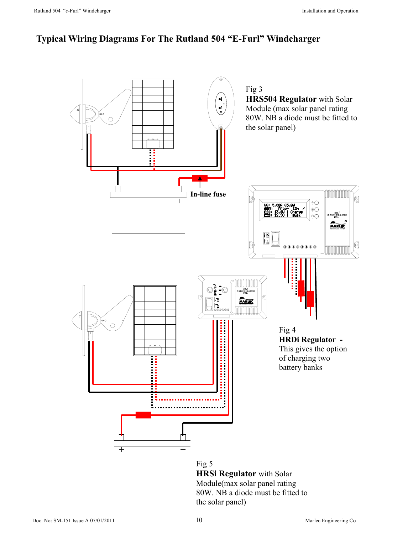#### **Typical Wiring Diagrams For The Rutland 504 "E-Furl" Windcharger**

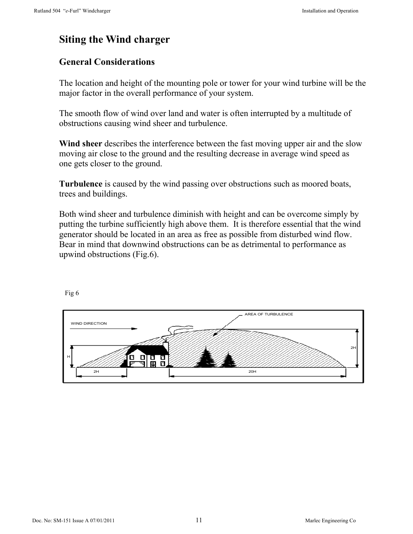#### **Siting the Wind charger**

#### **General Considerations**

The location and height of the mounting pole or tower for your wind turbine will be the major factor in the overall performance of your system.

The smooth flow of wind over land and water is often interrupted by a multitude of obstructions causing wind sheer and turbulence.

**Wind sheer** describes the interference between the fast moving upper air and the slow moving air close to the ground and the resulting decrease in average wind speed as one gets closer to the ground.

**Turbulence** is caused by the wind passing over obstructions such as moored boats, trees and buildings.

Both wind sheer and turbulence diminish with height and can be overcome simply by putting the turbine sufficiently high above them. It is therefore essential that the wind generator should be located in an area as free as possible from disturbed wind flow. Bear in mind that downwind obstructions can be as detrimental to performance as upwind obstructions (Fig.6).

Fig 6

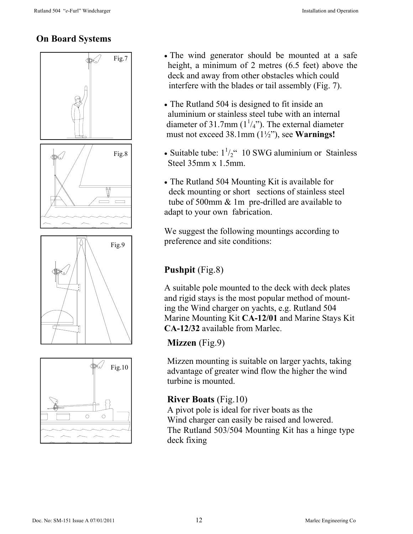#### **On Board Systems**



- $\overline{Fig.7}$  The wind generator should be mounted at a safe height, a minimum of 2 metres (6.5 feet) above the deck and away from other obstacles which could interfere with the blades or tail assembly (Fig. 7).
	- The Rutland 504 is designed to fit inside an aluminium or stainless steel tube with an internal diameter of 31.7mm  $(1\frac{1}{4})$ . The external diameter must not exceed 38.1mm (1½"), see **Warnings!**
	- Suitable tube:  $1\frac{1}{2}$ " 10 SWG aluminium or Stainless Steel 35mm x 1.5mm.
	- The Rutland 504 Mounting Kit is available for deck mounting or short sections of stainless steel tube of 500mm & 1m pre-drilled are available to adapt to your own fabrication.

We suggest the following mountings according to preference and site conditions:

#### **Pushpit** (Fig.8)

A suitable pole mounted to the deck with deck plates and rigid stays is the most popular method of mounting the Wind charger on yachts, e.g. Rutland 504 Marine Mounting Kit **CA-12/01** and Marine Stays Kit **CA-12/32** available from Marlec.

#### **Mizzen** (Fig.9)

Mizzen mounting is suitable on larger yachts, taking advantage of greater wind flow the higher the wind turbine is mounted.

#### **River Boats** (Fig.10)

A pivot pole is ideal for river boats as the Wind charger can easily be raised and lowered. The Rutland 503/504 Mounting Kit has a hinge type deck fixing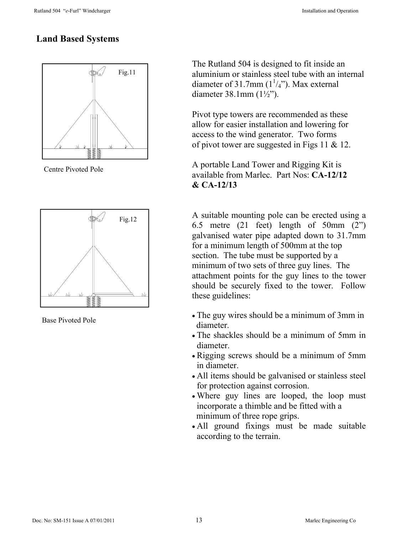#### **Land Based Systems**



Centre Pivoted Pole



Base Pivoted Pole

The Rutland 504 is designed to fit inside an aluminium or stainless steel tube with an internal diameter of 31.7mm  $(1\frac{1}{4})$ . Max external diameter 38.1mm (1½").

Pivot type towers are recommended as these allow for easier installation and lowering for access to the wind generator. Two forms of pivot tower are suggested in Figs 11 & 12.

A portable Land Tower and Rigging Kit is available from Marlec. Part Nos: **CA-12/12 & CA-12/13** 

A suitable mounting pole can be erected using a 6.5 metre (21 feet) length of 50mm (2") galvanised water pipe adapted down to 31.7mm for a minimum length of 500mm at the top section. The tube must be supported by a minimum of two sets of three guy lines. The attachment points for the guy lines to the tower should be securely fixed to the tower. Follow these guidelines:

- The guy wires should be a minimum of 3mm in diameter.
- The shackles should be a minimum of 5mm in diameter.
- Rigging screws should be a minimum of 5mm in diameter.
- All items should be galvanised or stainless steel for protection against corrosion.
- Where guy lines are looped, the loop must incorporate a thimble and be fitted with a minimum of three rope grips.
- All ground fixings must be made suitable according to the terrain.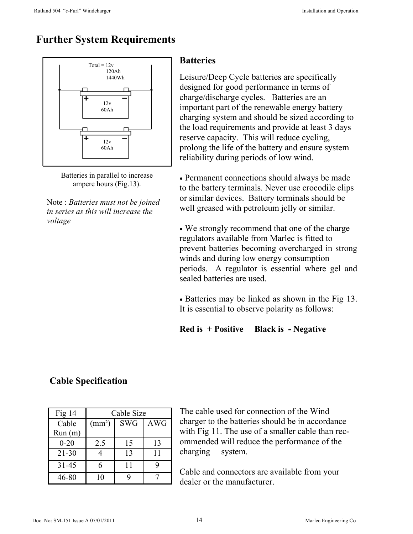#### **Further System Requirements**





Note : *Batteries must not be joined in series as this will increase the voltage* 

#### **Batteries**

Leisure/Deep Cycle batteries are specifically designed for good performance in terms of charge/discharge cycles. Batteries are an important part of the renewable energy battery charging system and should be sized according to the load requirements and provide at least 3 days reserve capacity. This will reduce cycling, prolong the life of the battery and ensure system reliability during periods of low wind.

• Permanent connections should always be made to the battery terminals. Never use crocodile clips or similar devices. Battery terminals should be well greased with petroleum jelly or similar.

• We strongly recommend that one of the charge regulators available from Marlec is fitted to prevent batteries becoming overcharged in strong winds and during low energy consumption periods. A regulator is essential where gel and sealed batteries are used.

• Batteries may be linked as shown in the Fig 13. It is essential to observe polarity as follows:

**Red is + Positive Black is - Negative** 

| Fig $14$  | Cable Size      |            |            |
|-----------|-----------------|------------|------------|
| Cable     | $\text{(mm}^2)$ | <b>SWG</b> | <b>AWG</b> |
| Run(m)    |                 |            |            |
| $0 - 20$  | 2.5             | 15         | 13         |
| $21 - 30$ |                 | 13         | 11         |
| $31 - 45$ | 6               | 11         |            |
| 46-80     | 10              |            |            |

#### **Cable Specification**

The cable used for connection of the Wind charger to the batteries should be in accordance with Fig 11. The use of a smaller cable than recommended will reduce the performance of the charging system.

Cable and connectors are available from your dealer or the manufacturer.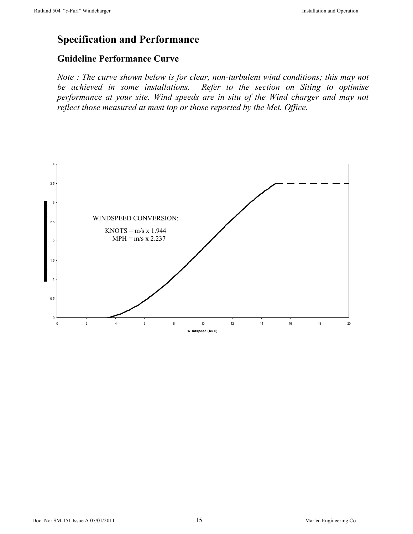#### **Specification and Performance**

#### **Guideline Performance Curve**

*Note : The curve shown below is for clear, non-turbulent wind conditions; this may not be achieved in some installations. Refer to the section on Siting to optimise performance at your site. Wind speeds are in situ of the Wind charger and may not reflect those measured at mast top or those reported by the Met. Office.*

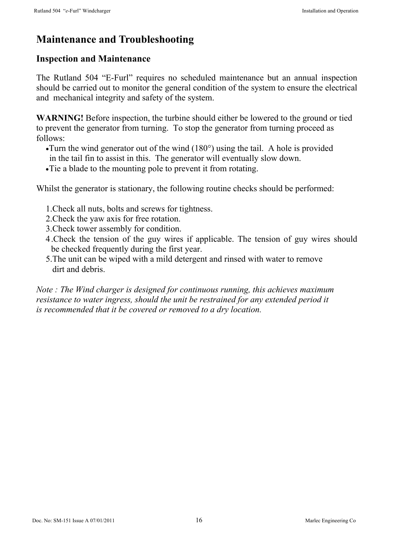#### **Maintenance and Troubleshooting**

#### **Inspection and Maintenance**

The Rutland 504 "E-Furl" requires no scheduled maintenance but an annual inspection should be carried out to monitor the general condition of the system to ensure the electrical and mechanical integrity and safety of the system.

**WARNING!** Before inspection, the turbine should either be lowered to the ground or tied to prevent the generator from turning. To stop the generator from turning proceed as follows:

- •Turn the wind generator out of the wind (180°) using the tail. A hole is provided in the tail fin to assist in this. The generator will eventually slow down.
- Tie a blade to the mounting pole to prevent it from rotating.

Whilst the generator is stationary, the following routine checks should be performed:

- 1.Check all nuts, bolts and screws for tightness.
- 2.Check the yaw axis for free rotation.
- 3.Check tower assembly for condition.
- 4 .Check the tension of the guy wires if applicable. The tension of guy wires should be checked frequently during the first year.
- 5.The unit can be wiped with a mild detergent and rinsed with water to remove dirt and debris.

*Note : The Wind charger is designed for continuous running, this achieves maximum resistance to water ingress, should the unit be restrained for any extended period it is recommended that it be covered or removed to a dry location.*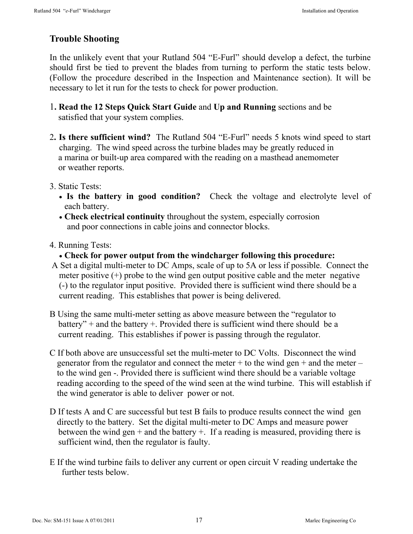#### **Trouble Shooting**

In the unlikely event that your Rutland 504 "E-Furl" should develop a defect, the turbine should first be tied to prevent the blades from turning to perform the static tests below. (Follow the procedure described in the Inspection and Maintenance section). It will be necessary to let it run for the tests to check for power production.

- 1**. Read the 12 Steps Quick Start Guide** and **Up and Running** sections and be satisfied that your system complies.
- 2**. Is there sufficient wind?** The Rutland 504 "E-Furl" needs 5 knots wind speed to start charging. The wind speed across the turbine blades may be greatly reduced in a marina or built-up area compared with the reading on a masthead anemometer or weather reports.
- 3. Static Tests:
	- Is the battery in good condition? Check the voltage and electrolyte level of each battery.
	- **Check electrical continuity** throughout the system, especially corrosion and poor connections in cable joins and connector blocks.
- 4. Running Tests:
	- **Check for power output from the windcharger following this procedure:**
- A Set a digital multi-meter to DC Amps, scale of up to 5A or less if possible. Connect the meter positive (+) probe to the wind gen output positive cable and the meter negative (-) to the regulator input positive. Provided there is sufficient wind there should be a current reading. This establishes that power is being delivered.
- B Using the same multi-meter setting as above measure between the "regulator to battery" + and the battery +. Provided there is sufficient wind there should be a current reading. This establishes if power is passing through the regulator.
- C If both above are unsuccessful set the multi-meter to DC Volts. Disconnect the wind generator from the regulator and connect the meter  $+$  to the wind gen  $+$  and the meter  $$ to the wind gen -. Provided there is sufficient wind there should be a variable voltage reading according to the speed of the wind seen at the wind turbine. This will establish if the wind generator is able to deliver power or not.
- D If tests A and C are successful but test B fails to produce results connect the wind gen directly to the battery. Set the digital multi-meter to DC Amps and measure power between the wind gen  $+$  and the battery  $+$ . If a reading is measured, providing there is sufficient wind, then the regulator is faulty.
- E If the wind turbine fails to deliver any current or open circuit V reading undertake the further tests below.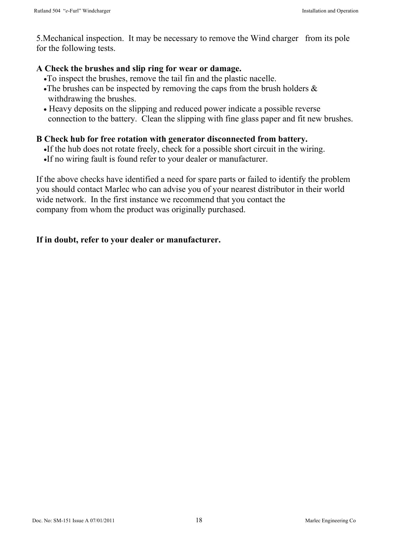5.Mechanical inspection. It may be necessary to remove the Wind charger from its pole for the following tests.

#### **A Check the brushes and slip ring for wear or damage.**

- •To inspect the brushes, remove the tail fin and the plastic nacelle.
- •The brushes can be inspected by removing the caps from the brush holders  $\&$ withdrawing the brushes.
- Heavy deposits on the slipping and reduced power indicate a possible reverse connection to the battery. Clean the slipping with fine glass paper and fit new brushes.

#### **B Check hub for free rotation with generator disconnected from battery.**

- •If the hub does not rotate freely, check for a possible short circuit in the wiring.
- •If no wiring fault is found refer to your dealer or manufacturer.

If the above checks have identified a need for spare parts or failed to identify the problem you should contact Marlec who can advise you of your nearest distributor in their world wide network. In the first instance we recommend that you contact the company from whom the product was originally purchased.

#### **If in doubt, refer to your dealer or manufacturer.**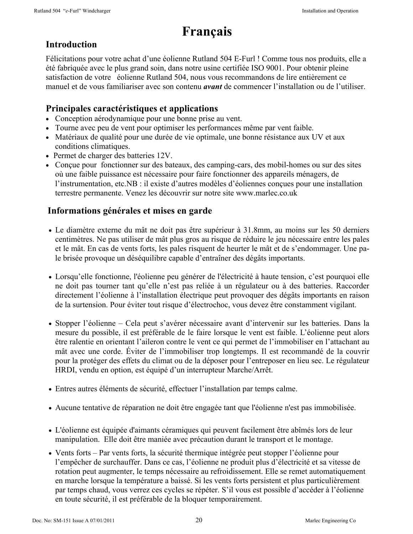# **Français**

#### **Introduction**

Félicitations pour votre achat d'une éolienne Rutland 504 E-Furl ! Comme tous nos produits, elle a été fabriquée avec le plus grand soin, dans notre usine certifiée ISO 9001. Pour obtenir pleine satisfaction de votre éolienne Rutland 504, nous vous recommandons de lire entièrement ce manuel et de vous familiariser avec son contenu *avant* de commencer l'installation ou de l'utiliser.

#### **Principales caractéristiques et applications**

- Conception aérodynamique pour une bonne prise au vent.
- Tourne avec peu de vent pour optimiser les performances même par vent faible.
- Matériaux de qualité pour une durée de vie optimale, une bonne résistance aux UV et aux conditions climatiques.
- Permet de charger des batteries 12V.
- Conçue pour fonctionner sur des bateaux, des camping-cars, des mobil-homes ou sur des sites où une faible puissance est nécessaire pour faire fonctionner des appareils ménagers, de l'instrumentation, etc.NB : il existe d'autres modèles d'éoliennes conçues pour une installation terrestre permanente. Venez les découvrir sur notre site www.marlec.co.uk

#### **Informations générales et mises en garde**

- Le diamètre externe du mât ne doit pas être supérieur à 31.8mm, au moins sur les 50 derniers centimètres. Ne pas utiliser de mât plus gros au risque de réduire le jeu nécessaire entre les pales et le mât. En cas de vents forts, les pales risquent de heurter le mât et de s'endommager. Une pale brisée provoque un déséquilibre capable d'entraîner des dégâts importants.
- Lorsqu'elle fonctionne, l'éolienne peu générer de l'électricité à haute tension, c'est pourquoi elle ne doit pas tourner tant qu'elle n'est pas reliée à un régulateur ou à des batteries. Raccorder directement l'éolienne à l'installation électrique peut provoquer des dégâts importants en raison de la surtension. Pour éviter tout risque d'électrochoc, vous devez être constamment vigilant.
- Stopper l'éolienne Cela peut s'avérer nécessaire avant d'intervenir sur les batteries. Dans la mesure du possible, il est préférable de le faire lorsque le vent est faible. L'éolienne peut alors être ralentie en orientant l'aileron contre le vent ce qui permet de l'immobiliser en l'attachant au mât avec une corde. Éviter de l'immobiliser trop longtemps. Il est recommandé de la couvrir pour la protéger des effets du climat ou de la déposer pour l'entreposer en lieu sec. Le régulateur HRDI, vendu en option, est équipé d'un interrupteur Marche/Arrêt.
- Entres autres éléments de sécurité, effectuer l'installation par temps calme.
- Aucune tentative de réparation ne doit être engagée tant que l'éolienne n'est pas immobilisée.
- L'éolienne est équipée d'aimants céramiques qui peuvent facilement être abîmés lors de leur manipulation. Elle doit être maniée avec précaution durant le transport et le montage.
- Vents forts Par vents forts, la sécurité thermique intégrée peut stopper l'éolienne pour l'empêcher de surchauffer. Dans ce cas, l'éolienne ne produit plus d'électricité et sa vitesse de rotation peut augmenter, le temps nécessaire au refroidissement. Elle se remet automatiquement en marche lorsque la température a baissé. Si les vents forts persistent et plus particulièrement par temps chaud, vous verrez ces cycles se répéter. S'il vous est possible d'accéder à l'éolienne en toute sécurité, il est préférable de la bloquer temporairement.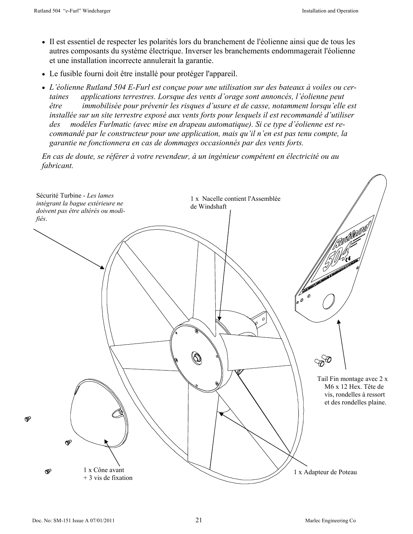- Il est essentiel de respecter les polarités lors du branchement de l'éolienne ainsi que de tous les autres composants du système électrique. Inverser les branchements endommagerait l'éolienne et une installation incorrecte annulerait la garantie.
- Le fusible fourni doit être installé pour protéger l'appareil.
- *L'éolienne Rutland 504 E-Furl est conçue pour une utilisation sur des bateaux à voiles ou certaines applications terrestres. Lorsque des vents d'orage sont annoncés, l'éolienne peut être immobilisée pour prévenir les risques d'usure et de casse, notamment lorsqu'elle est installée sur un site terrestre exposé aux vents forts pour lesquels il est recommandé d'utiliser des modèles Furlmatic (avec mise en drapeau automatique). Si ce type d'éolienne est recommandé par le constructeur pour une application, mais qu'il n'en est pas tenu compte, la garantie ne fonctionnera en cas de dommages occasionnés par des vents forts.*

*En cas de doute, se référer à votre revendeur, à un ingénieur compétent en électricité ou au fabricant.* 

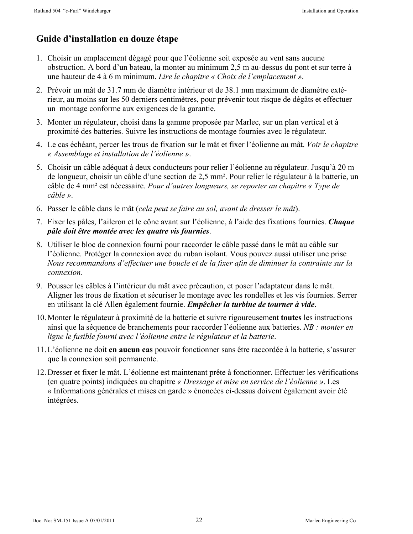#### **Guide d'installation en douze étape**

- 1. Choisir un emplacement dégagé pour que l'éolienne soit exposée au vent sans aucune obstruction. A bord d'un bateau, la monter au minimum 2,5 m au-dessus du pont et sur terre à une hauteur de 4 à 6 m minimum. *Lire le chapitre « Choix de l'emplacement »*.
- 2. Prévoir un mât de 31.7 mm de diamètre intérieur et de 38.1 mm maximum de diamètre extérieur, au moins sur les 50 derniers centimètres, pour prévenir tout risque de dégâts et effectuer un montage conforme aux exigences de la garantie.
- 3. Monter un régulateur, choisi dans la gamme proposée par Marlec, sur un plan vertical et à proximité des batteries. Suivre les instructions de montage fournies avec le régulateur.
- 4. Le cas échéant, percer les trous de fixation sur le mât et fixer l'éolienne au mât. *Voir le chapitre « Assemblage et installation de l'éolienne »*.
- 5. Choisir un câble adéquat à deux conducteurs pour relier l'éolienne au régulateur. Jusqu'à 20 m de longueur, choisir un câble d'une section de 2,5 mm². Pour relier le régulateur à la batterie, un câble de 4 mm² est nécessaire. *Pour d'autres longueurs, se reporter au chapitre « Type de câble »*.
- 6. Passer le câble dans le mât (*cela peut se faire au sol, avant de dresser le mât*).
- 7. Fixer les pâles, l'aileron et le cône avant sur l'éolienne, à l'aide des fixations fournies. *Chaque pâle doit être montée avec les quatre vis fournies*.
- 8. Utiliser le bloc de connexion fourni pour raccorder le câble passé dans le mât au câble sur l'éolienne. Protéger la connexion avec du ruban isolant. Vous pouvez aussi utiliser une prise *Nous recommandons d'effectuer une boucle et de la fixer afin de diminuer la contrainte sur la connexion*.
- 9. Pousser les câbles à l'intérieur du mât avec précaution, et poser l'adaptateur dans le mât. Aligner les trous de fixation et sécuriser le montage avec les rondelles et les vis fournies. Serrer en utilisant la clé Allen également fournie. *Empêcher la turbine de tourner à vide*.
- 10. Monter le régulateur à proximité de la batterie et suivre rigoureusement **toutes** les instructions ainsi que la séquence de branchements pour raccorder l'éolienne aux batteries. *NB : monter en ligne le fusible fourni avec l'éolienne entre le régulateur et la batterie*.
- 11. L'éolienne ne doit **en aucun cas** pouvoir fonctionner sans être raccordée à la batterie, s'assurer que la connexion soit permanente.
- 12. Dresser et fixer le mât. L'éolienne est maintenant prête à fonctionner. Effectuer les vérifications (en quatre points) indiquées au chapitre *« Dressage et mise en service de l'éolienne »*. Les « Informations générales et mises en garde » énoncées ci-dessus doivent également avoir été intégrées.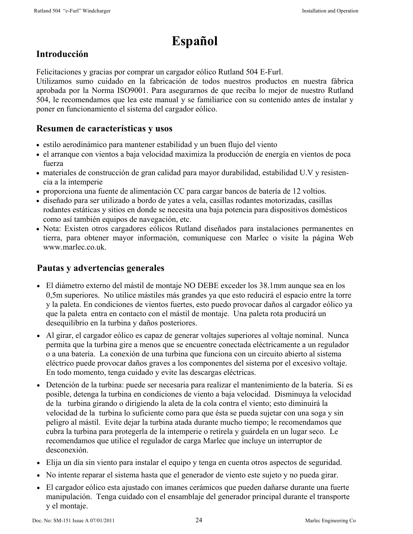## **Español**

#### **Introducción**

Felicitaciones y gracias por comprar un cargador eólico Rutland 504 E-Furl.

Utilizamos sumo cuidado en la fabricación de todos nuestros productos en nuestra fábrica aprobada por la Norma ISO9001. Para asegurarnos de que reciba lo mejor de nuestro Rutland 504, le recomendamos que lea este manual y se familiarice con su contenido antes de instalar y poner en funcionamiento el sistema del cargador eólico.

#### **Resumen de características y usos**

- estilo aerodinámico para mantener estabilidad y un buen flujo del viento
- el arranque con vientos a baja velocidad maximiza la producción de energía en vientos de poca fuerza
- materiales de construcción de gran calidad para mayor durabilidad, estabilidad U.V y resistencia a la intemperie
- proporciona una fuente de alimentación CC para cargar bancos de batería de 12 voltios.
- diseñado para ser utilizado a bordo de yates a vela, casillas rodantes motorizadas, casillas rodantes estáticas y sitios en donde se necesita una baja potencia para dispositivos domésticos como así también equipos de navegación, etc.
- Nota: Existen otros cargadores eólicos Rutland diseñados para instalaciones permanentes en tierra, para obtener mayor información, comuníquese con Marlec o visite la página Web www.marlec.co.uk.

#### **Pautas y advertencias generales**

- El diámetro externo del mástil de montaje NO DEBE exceder los 38.1mm aunque sea en los 0,5m superiores. No utilice mástiles más grandes ya que esto reducirá el espacio entre la torre y la paleta. En condiciones de vientos fuertes, esto puedo provocar daños al cargador eólico ya que la paleta entra en contacto con el mástil de montaje. Una paleta rota producirá un desequilibrio en la turbina y daños posteriores.
- Al girar, el cargador eólico es capaz de generar voltajes superiores al voltaje nominal. Nunca permita que la turbina gire a menos que se encuentre conectada eléctricamente a un regulador o a una batería. La conexión de una turbina que funciona con un circuito abierto al sistema eléctrico puede provocar daños graves a los componentes del sistema por el excesivo voltaje. En todo momento, tenga cuidado y evite las descargas eléctricas.
- Detención de la turbina: puede ser necesaria para realizar el mantenimiento de la batería. Si es posible, detenga la turbina en condiciones de viento a baja velocidad. Disminuya la velocidad de la turbina girando o dirigiendo la aleta de la cola contra el viento; esto diminuirá la velocidad de la turbina lo suficiente como para que ésta se pueda sujetar con una soga y sin peligro al mástil. Evite dejar la turbina atada durante mucho tiempo; le recomendamos que cubra la turbina para protegerla de la intemperie o retírela y guárdela en un lugar seco. Le recomendamos que utilice el regulador de carga Marlec que incluye un interruptor de desconexión.
- Elija un día sin viento para instalar el equipo y tenga en cuenta otros aspectos de seguridad.
- No intente reparar el sistema hasta que el generador de viento este sujeto y no pueda girar.
- El cargador eólico esta ajustado con imanes cerámicos que pueden dañarse durante una fuerte manipulación. Tenga cuidado con el ensamblaje del generador principal durante el transporte y el montaje.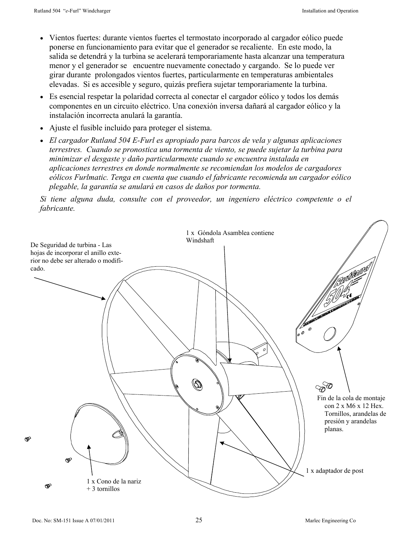- Vientos fuertes: durante vientos fuertes el termostato incorporado al cargador eólico puede ponerse en funcionamiento para evitar que el generador se recaliente. En este modo, la salida se detendrá y la turbina se acelerará temporariamente hasta alcanzar una temperatura menor y el generador se encuentre nuevamente conectado y cargando. Se lo puede ver girar durante prolongados vientos fuertes, particularmente en temperaturas ambientales elevadas. Si es accesible y seguro, quizás prefiera sujetar temporariamente la turbina.
- Es esencial respetar la polaridad correcta al conectar el cargador eólico y todos los demás componentes en un circuito eléctrico. Una conexión inversa dañará al cargador eólico y la instalación incorrecta anulará la garantía.
- Ajuste el fusible incluido para proteger el sistema.
- *El cargador Rutland 504 E-Furl es apropiado para barcos de vela y algunas aplicaciones terrestres. Cuando se pronostica una tormenta de viento, se puede sujetar la turbina para minimizar el desgaste y daño particularmente cuando se encuentra instalada en aplicaciones terrestres en donde normalmente se recomiendan los modelos de cargadores eólicos Furlmatic. Tenga en cuenta que cuando el fabricante recomienda un cargador eólico plegable, la garantía se anulará en casos de daños por tormenta.*

*Si tiene alguna duda, consulte con el proveedor, un ingeniero eléctrico competente o el fabricante.* 

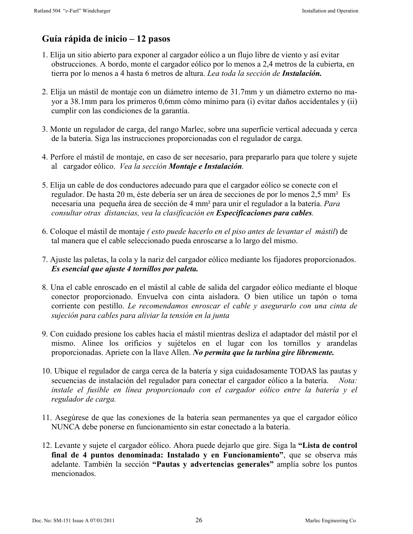#### **Guía rápida de inicio – 12 pasos**

- 1. Elija un sitio abierto para exponer al cargador eólico a un flujo libre de viento y así evitar obstrucciones. A bordo, monte el cargador eólico por lo menos a 2,4 metros de la cubierta, en tierra por lo menos a 4 hasta 6 metros de altura. *Lea toda la sección de Instalación.*
- 2. Elija un mástil de montaje con un diámetro interno de 31.7mm y un diámetro externo no mayor a 38.1mm para los primeros 0,6mm cómo mínimo para (i) evitar daños accidentales y (ii) cumplir con las condiciones de la garantía.
- 3. Monte un regulador de carga, del rango Marlec, sobre una superficie vertical adecuada y cerca de la batería. Siga las instrucciones proporcionadas con el regulador de carga.
- 4. Perfore el mástil de montaje, en caso de ser necesario, para prepararlo para que tolere y sujete al cargador eólico. *Vea la sección Montaje e Instalación.*
- 5. Elija un cable de dos conductores adecuado para que el cargador eólico se conecte con el regulador. De hasta 20 m, éste debería ser un área de secciones de por lo menos 2,5 mm² Es necesaria una pequeña área de sección de 4 mm² para unir el regulador a la batería. *Para consultar otras distancias, vea la clasificación en Especificaciones para cables.*
- 6. Coloque el mástil de montaje *( esto puede hacerlo en el piso antes de levantar el mástil*) de tal manera que el cable seleccionado pueda enroscarse a lo largo del mismo.
- 7. Ajuste las paletas, la cola y la nariz del cargador eólico mediante los fijadores proporcionados. *Es esencial que ajuste 4 tornillos por paleta.*
- 8. Una el cable enroscado en el mástil al cable de salida del cargador eólico mediante el bloque conector proporcionado. Envuelva con cinta aisladora. O bien utilice un tapón o toma corriente con pestillo. *Le recomendamos enroscar el cable y asegurarlo con una cinta de sujeción para cables para aliviar la tensión en la junta*
- 9. Con cuidado presione los cables hacia el mástil mientras desliza el adaptador del mástil por el mismo. Alinee los orificios y sujételos en el lugar con los tornillos y arandelas proporcionadas. Apriete con la llave Allen. *No permita que la turbina gire libremente.*
- 10. Ubique el regulador de carga cerca de la batería y siga cuidadosamente TODAS las pautas y secuencias de instalación del regulador para conectar el cargador eólico a la batería. *Nota: instale el fusible en línea proporcionado con el cargador eólico entre la batería y el regulador de carga.*
- 11. Asegúrese de que las conexiones de la batería sean permanentes ya que el cargador eólico NUNCA debe ponerse en funcionamiento sin estar conectado a la batería.
- 12. Levante y sujete el cargador eólico. Ahora puede dejarlo que gire. Siga la **"Lista de control final de 4 puntos denominada: Instalado y en Funcionamiento"**, que se observa más adelante. También la sección **"Pautas y advertencias generales"** amplía sobre los puntos mencionados.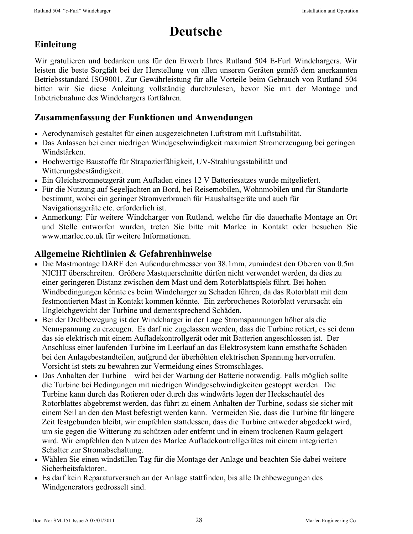# **Deutsche**

#### **Einleitung**

Wir gratulieren und bedanken uns für den Erwerb Ihres Rutland 504 E-Furl Windchargers. Wir leisten die beste Sorgfalt bei der Herstellung von allen unseren Geräten gemäß dem anerkannten Betriebsstandard ISO9001. Zur Gewährleistung für alle Vorteile beim Gebrauch von Rutland 504 bitten wir Sie diese Anleitung vollständig durchzulesen, bevor Sie mit der Montage und Inbetriebnahme des Windchargers fortfahren.

#### **Zusammenfassung der Funktionen und Anwendungen**

- Aerodynamisch gestaltet für einen ausgezeichneten Luftstrom mit Luftstabilität.
- Das Anlassen bei einer niedrigen Windgeschwindigkeit maximiert Stromerzeugung bei geringen Windstärken.
- Hochwertige Baustoffe für Strapazierfähigkeit, UV-Strahlungsstabilität und Witterungsbeständigkeit.
- Ein Gleichstromnetzgerät zum Aufladen eines 12 V Batteriesatzes wurde mitgeliefert.
- Für die Nutzung auf Segeljachten an Bord, bei Reisemobilen, Wohnmobilen und für Standorte bestimmt, wobei ein geringer Stromverbrauch für Haushaltsgeräte und auch für Navigationsgeräte etc. erforderlich ist.
- Anmerkung: Für weitere Windcharger von Rutland, welche für die dauerhafte Montage an Ort und Stelle entworfen wurden, treten Sie bitte mit Marlec in Kontakt oder besuchen Sie www.marlec.co.uk für weitere Informationen.

#### **Allgemeine Richtlinien & Gefahrenhinweise**

- Die Mastmontage DARF den Außendurchmesser von 38.1mm, zumindest den Oberen von 0.5m NICHT überschreiten. Größere Mastquerschnitte dürfen nicht verwendet werden, da dies zu einer geringeren Distanz zwischen dem Mast und dem Rotorblattspiels führt. Bei hohen Windbedingungen könnte es beim Windcharger zu Schaden führen, da das Rotorblatt mit dem festmontierten Mast in Kontakt kommen könnte. Ein zerbrochenes Rotorblatt verursacht ein Ungleichgewicht der Turbine und dementsprechend Schäden.
- Bei der Drehbewegung ist der Windcharger in der Lage Stromspannungen höher als die Nennspannung zu erzeugen. Es darf nie zugelassen werden, dass die Turbine rotiert, es sei denn das sie elektrisch mit einem Aufladekontrollgerät oder mit Batterien angeschlossen ist. Der Anschluss einer laufenden Turbine im Leerlauf an das Elektrosystem kann ernsthafte Schäden bei den Anlagebestandteilen, aufgrund der überhöhten elektrischen Spannung hervorrufen. Vorsicht ist stets zu bewahren zur Vermeidung eines Stromschlages.
- Das Anhalten der Turbine wird bei der Wartung der Batterie notwendig. Falls möglich sollte die Turbine bei Bedingungen mit niedrigen Windgeschwindigkeiten gestoppt werden. Die Turbine kann durch das Rotieren oder durch das windwärts legen der Heckschaufel des Rotorblattes abgebremst werden, das führt zu einem Anhalten der Turbine, sodass sie sicher mit einem Seil an den den Mast befestigt werden kann. Vermeiden Sie, dass die Turbine für längere Zeit festgebunden bleibt, wir empfehlen stattdessen, dass die Turbine entweder abgedeckt wird, um sie gegen die Witterung zu schützen oder entfernt und in einem trockenen Raum gelagert wird. Wir empfehlen den Nutzen des Marlec Aufladekontrollgerätes mit einem integrierten Schalter zur Stromabschaltung.
- Wählen Sie einen windstillen Tag für die Montage der Anlage und beachten Sie dabei weitere Sicherheitsfaktoren.
- Es darf kein Reparaturversuch an der Anlage stattfinden, bis alle Drehbewegungen des Windgenerators gedrosselt sind.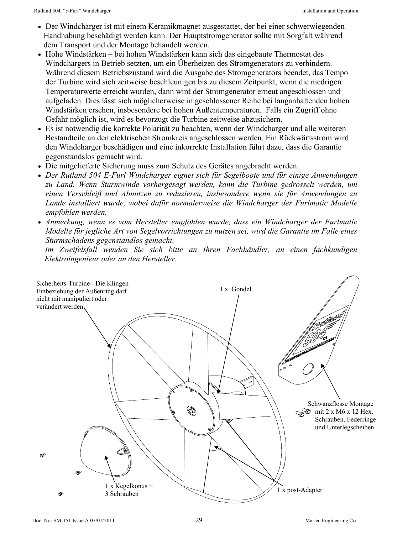- Der Windcharger ist mit einem Keramikmagnet ausgestattet, der bei einer schwerwiegenden Handhabung beschädigt werden kann. Der Hauptstromgenerator sollte mit Sorgfalt während dem Transport und der Montage behandelt werden.
- Hohe Windstärken bei hohen Windstärken kann sich das eingebaute Thermostat des Windchargers in Betrieb setzten, um ein Überheizen des Stromgenerators zu verhindern. Während diesem Betriebszustand wird die Ausgabe des Stromgenerators beendet, das Tempo der Turbine wird sich zeitweise beschleunigen bis zu diesem Zeitpunkt, wenn die niedrigen Temperaturwerte erreicht wurden, dann wird der Stromgenerator erneut angeschlossen und aufgeladen. Dies lässt sich möglicherweise in geschlossener Reihe bei langanhaltenden hohen Windstärken ersehen, insbesondere bei hohen Außentemperaturen. Falls ein Zugriff ohne Gefahr möglich ist, wird es bevorzugt die Turbine zeitweise abzusichern.
- Es ist notwendig die korrekte Polarität zu beachten, wenn der Windcharger und alle weiteren Bestandteile an den elektrischen Stromkreis angeschlossen werden. Ein Rückwärtsstrom wird den Windcharger beschädigen und eine inkorrekte Installation führt dazu, dass die Garantie gegenstandslos gemacht wird.
- Die mitgelieferte Sicherung muss zum Schutz des Gerätes angebracht werden.
- *Der Rutland 504 E-Furl Windcharger eignet sich für Segelboote und für einige Anwendungen zu Land. Wenn Sturmwinde vorhergesagt werden, kann die Turbine gedrosselt werden, um einen Verschleiß und Abnutzen zu reduzieren, insbesondere wenn sie für Anwendungen zu Lande installiert wurde, wobei dafür normalerweise die Windcharger der Furlmatic Modelle empfohlen werden.*
- *Anmerkung, wenn es vom Hersteller empfohlen wurde, dass ein Windcharger der Furlmatic Modelle für jegliche Art von Segelvorrichtungen zu nutzen sei, wird die Garantie im Falle eines Sturmschadens gegenstandlos gemacht.*

 *Im Zweifelsfall wenden Sie sich bitte an Ihren Fachhändler, an einen fachkundigen Elektroingenieur oder an den Hersteller.* 

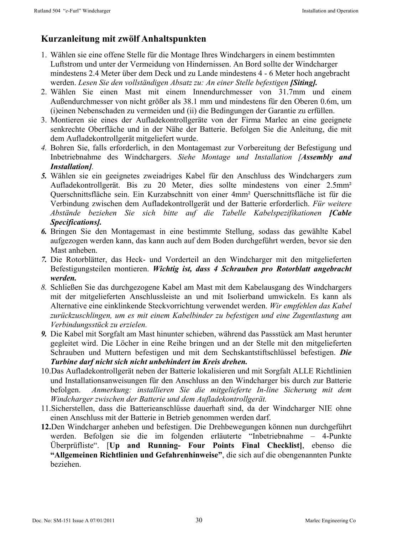#### **Kurzanleitung mit zwölf Anhaltspunkten**

- 1. Wählen sie eine offene Stelle für die Montage Ihres Windchargers in einem bestimmten Luftstrom und unter der Vermeidung von Hindernissen. An Bord sollte der Windcharger mindestens 2.4 Meter über dem Deck und zu Lande mindestens 4 - 6 Meter hoch angebracht werden. *Lesen Sie den vollständigen Absatz zu: An einer Stelle befestigen [Siting].*
- 2. Wählen Sie einen Mast mit einem Innendurchmesser von 31.7mm und einem Außendurchmesser von nicht größer als 38.1 mm und mindestens für den Oberen 0.6m, um (i)einen Nebenschaden zu vermeiden und (ii) die Bedingungen der Garantie zu erfüllen.
- 3. Montieren sie eines der Aufladekontrollgeräte von der Firma Marlec an eine geeignete senkrechte Oberfläche und in der Nähe der Batterie. Befolgen Sie die Anleitung, die mit dem Aufladekontrollgerät mitgeliefert wurde.
- *4.* Bohren Sie, falls erforderlich, in den Montagemast zur Vorbereitung der Befestigung und Inbetriebnahme des Windchargers. *Siehe Montage und Installation [Assembly and Installation].*
- *5.* Wählen sie ein geeignetes zweiadriges Kabel für den Anschluss des Windchargers zum Aufladekontrollgerät. Bis zu 20 Meter, dies sollte mindestens von einer 2.5mm² Querschnittsfläche sein. Ein Kurzabschnitt von einer 4mm² Querschnittsfläche ist für die Verbindung zwischen dem Aufladekontrollgerät und der Batterie erforderlich. *Für weitere Abstände beziehen Sie sich bitte auf die Tabelle Kabelspezifikationen [Cable Specifications].*
- *6.* Bringen Sie den Montagemast in eine bestimmte Stellung, sodass das gewählte Kabel aufgezogen werden kann, das kann auch auf dem Boden durchgeführt werden, bevor sie den Mast anheben.
- *7.* Die Rotorblätter, das Heck- und Vorderteil an den Windcharger mit den mitgelieferten Befestigungsteilen montieren. *Wichtig ist, dass 4 Schrauben pro Rotorblatt angebracht werden.*
- *8.* Schließen Sie das durchgezogene Kabel am Mast mit dem Kabelausgang des Windchargers mit der mitgelieferten Anschlussleiste an und mit Isolierband umwickeln. Es kann als Alternative eine einklinkende Steckvorrichtung verwendet werden. *Wir empfehlen das Kabel zurückzuschlingen, um es mit einem Kabelbinder zu befestigen und eine Zugentlastung am Verbindungsstück zu erzielen.*
- *9.* Die Kabel mit Sorgfalt am Mast hinunter schieben, während das Passstück am Mast herunter gegleitet wird. Die Löcher in eine Reihe bringen und an der Stelle mit den mitgelieferten Schrauben und Muttern befestigen und mit dem Sechskantstiftschlüssel befestigen. *Die Turbine darf nicht sich nicht unbehindert im Kreis drehen.*
- 10.Das Aufladekontrollgerät neben der Batterie lokalisieren und mit Sorgfalt ALLE Richtlinien und Installationsanweisungen für den Anschluss an den Windcharger bis durch zur Batterie befolgen. *Anmerkung: installieren Sie die mitgelieferte In-line Sicherung mit dem Windcharger zwischen der Batterie und dem Aufladekontrollgerät.*
- 11.Sicherstellen, dass die Batterieanschlüsse dauerhaft sind, da der Windcharger NIE ohne einen Anschluss mit der Batterie in Betrieb genommen werden darf.
- **12.**Den Windcharger anheben und befestigen. Die Drehbewegungen können nun durchgeführt werden. Befolgen sie die im folgenden erläuterte "Inbetriebnahme – 4-Punkte Überprüfliste". [**Up and Running- Four Points Final Checklist]**, ebenso die **"Allgemeinen Richtlinien und Gefahrenhinweise"**, die sich auf die obengenannten Punkte beziehen.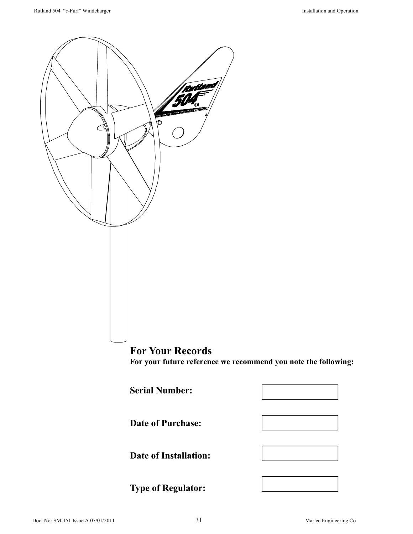

#### **For Your Records For your future reference we recommend you note the following:**

**Serial Number:** 

**Date of Purchase:** 



**Date of Installation:** 

**Type of Regulator:**